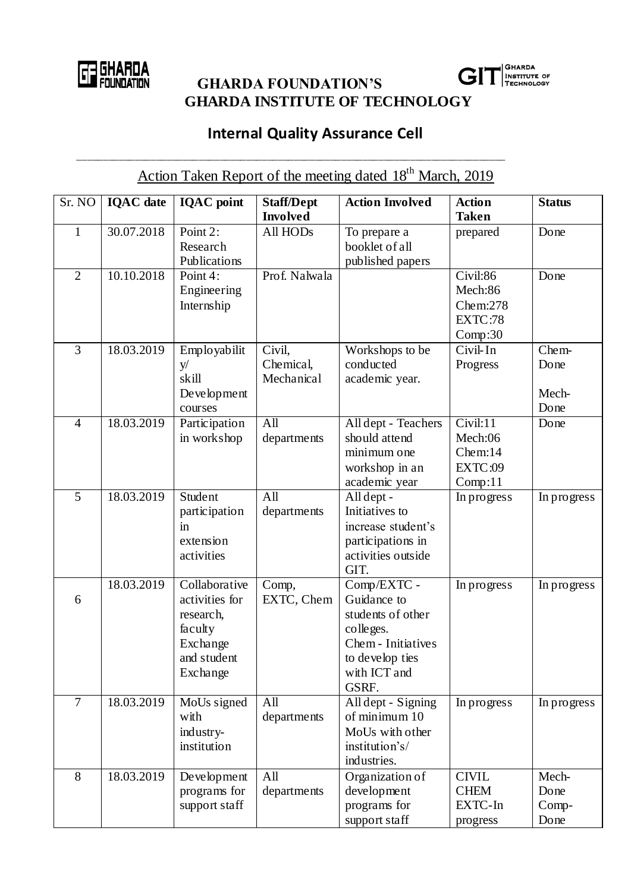

**CHARDA**<br> **GHARDA FOUNDATION'S GHARDA INSTITUTE OF TECHNOLOGY**



## **Internal Quality Assurance Cell**

\_\_\_\_\_\_\_\_\_\_\_\_\_\_\_\_\_\_\_\_\_\_\_\_\_\_\_\_\_\_\_\_\_\_\_\_\_\_\_\_\_\_\_\_\_\_\_\_\_\_\_\_\_\_\_\_\_\_\_\_\_\_\_\_\_\_\_\_\_\_\_\_\_\_\_\_\_\_\_\_\_

| Action Taken Report of the meeting dated 18 <sup>th</sup> March, 2019 |                  |                                                                                                |                                      |                                                                                                                                |                                                       |                                |  |  |  |  |
|-----------------------------------------------------------------------|------------------|------------------------------------------------------------------------------------------------|--------------------------------------|--------------------------------------------------------------------------------------------------------------------------------|-------------------------------------------------------|--------------------------------|--|--|--|--|
| Sr. NO                                                                | <b>IOAC</b> date | <b>IQAC</b> point                                                                              | <b>Staff/Dept</b><br><b>Involved</b> | <b>Action Involved</b>                                                                                                         | <b>Action</b><br><b>Taken</b>                         | <b>Status</b>                  |  |  |  |  |
| $\mathbf{1}$                                                          | 30.07.2018       | Point 2:<br>Research<br>Publications                                                           | All HODs                             | To prepare a<br>booklet of all<br>published papers                                                                             | prepared                                              | Done                           |  |  |  |  |
| $\overline{2}$                                                        | 10.10.2018       | Point 4:<br>Engineering<br>Internship                                                          | Prof. Nalwala                        |                                                                                                                                | Civil:86<br>Mech:86<br>Chem:278<br>EXTC:78<br>Comp:30 | Done                           |  |  |  |  |
| 3                                                                     | 18.03.2019       | Employabilit<br>y/<br>skill<br>Development<br>courses                                          | Civil,<br>Chemical,<br>Mechanical    | Workshops to be<br>conducted<br>academic year.                                                                                 | Civil-In<br>Progress                                  | Chem-<br>Done<br>Mech-<br>Done |  |  |  |  |
| $\overline{4}$                                                        | 18.03.2019       | Participation<br>in workshop                                                                   | $\overline{All}$<br>departments      | All dept - Teachers<br>should attend<br>minimum one<br>workshop in an<br>academic year                                         | Civil:11<br>Mech:06<br>Chem:14<br>EXTC:09<br>Comp:11  | Done                           |  |  |  |  |
| 5                                                                     | 18.03.2019       | Student<br>participation<br>in<br>extension<br>activities                                      | All<br>departments                   | All dept -<br>Initiatives to<br>increase student's<br>participations in<br>activities outside<br>GIT.                          | In progress                                           | In progress                    |  |  |  |  |
| 6                                                                     | 18.03.2019       | Collaborative<br>activities for<br>research,<br>faculty<br>Exchange<br>and student<br>Exchange | Comp,<br>EXTC, Chem                  | Comp/EXTC -<br>Guidance to<br>students of other<br>colleges.<br>Chem - Initiatives<br>to develop ties<br>with ICT and<br>GSRF. | In progress                                           | In progress                    |  |  |  |  |
| $\overline{7}$                                                        | 18.03.2019       | MoUs signed<br>with<br>industry-<br>institution                                                | All<br>departments                   | All dept - Signing<br>of minimum 10<br>MoUs with other<br>institution's/<br>industries.                                        | In progress                                           | In progress                    |  |  |  |  |
| 8                                                                     | 18.03.2019       | Development<br>programs for<br>support staff                                                   | All<br>departments                   | Organization of<br>development<br>programs for<br>support staff                                                                | <b>CIVIL</b><br><b>CHEM</b><br>EXTC-In<br>progress    | Mech-<br>Done<br>Comp-<br>Done |  |  |  |  |